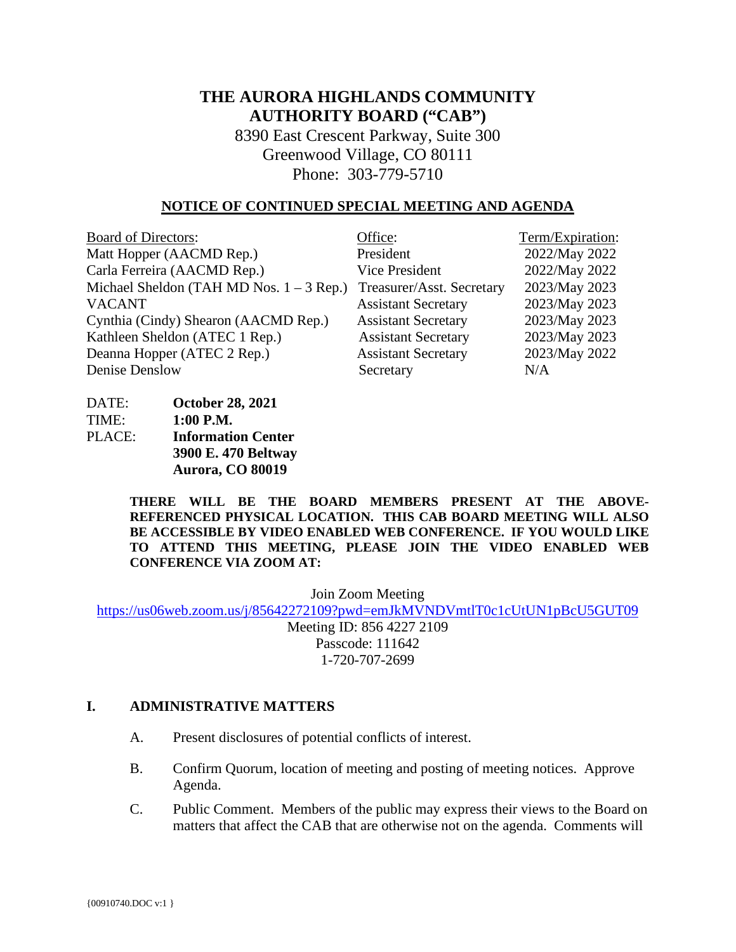# **THE AURORA HIGHLANDS COMMUNITY AUTHORITY BOARD ("CAB")**

8390 East Crescent Parkway, Suite 300 Greenwood Village, CO 80111 Phone: 303-779-5710

#### **NOTICE OF CONTINUED SPECIAL MEETING AND AGENDA**

| <b>Board of Directors:</b>                 | Office:                    | Term/Expiration: |
|--------------------------------------------|----------------------------|------------------|
| Matt Hopper (AACMD Rep.)                   | President                  | 2022/May 2022    |
| Carla Ferreira (AACMD Rep.)                | Vice President             | 2022/May 2022    |
| Michael Sheldon (TAH MD Nos. $1 - 3$ Rep.) | Treasurer/Asst. Secretary  | 2023/May 2023    |
| <b>VACANT</b>                              | <b>Assistant Secretary</b> | 2023/May 2023    |
| Cynthia (Cindy) Shearon (AACMD Rep.)       | <b>Assistant Secretary</b> | 2023/May 2023    |
| Kathleen Sheldon (ATEC 1 Rep.)             | <b>Assistant Secretary</b> | 2023/May 2023    |
| Deanna Hopper (ATEC 2 Rep.)                | <b>Assistant Secretary</b> | 2023/May 2022    |
| Denise Denslow                             | Secretary                  | N/A              |

| DATE:  | <b>October 28, 2021</b>   |
|--------|---------------------------|
| TIME:  | $1:00$ P.M.               |
| PLACE: | <b>Information Center</b> |
|        | 3900 E. 470 Beltway       |
|        | Aurora, CO 80019          |

**THERE WILL BE THE BOARD MEMBERS PRESENT AT THE ABOVE-REFERENCED PHYSICAL LOCATION. THIS CAB BOARD MEETING WILL ALSO BE ACCESSIBLE BY VIDEO ENABLED WEB CONFERENCE. IF YOU WOULD LIKE TO ATTEND THIS MEETING, PLEASE JOIN THE VIDEO ENABLED WEB CONFERENCE VIA ZOOM AT:**

Join Zoom Meeting

<https://us06web.zoom.us/j/85642272109?pwd=emJkMVNDVmtlT0c1cUtUN1pBcU5GUT09>

Meeting ID: 856 4227 2109 Passcode: 111642 1-720-707-2699

#### **I. ADMINISTRATIVE MATTERS**

- A. Present disclosures of potential conflicts of interest.
- B. Confirm Quorum, location of meeting and posting of meeting notices. Approve Agenda.
- C. Public Comment. Members of the public may express their views to the Board on matters that affect the CAB that are otherwise not on the agenda. Comments will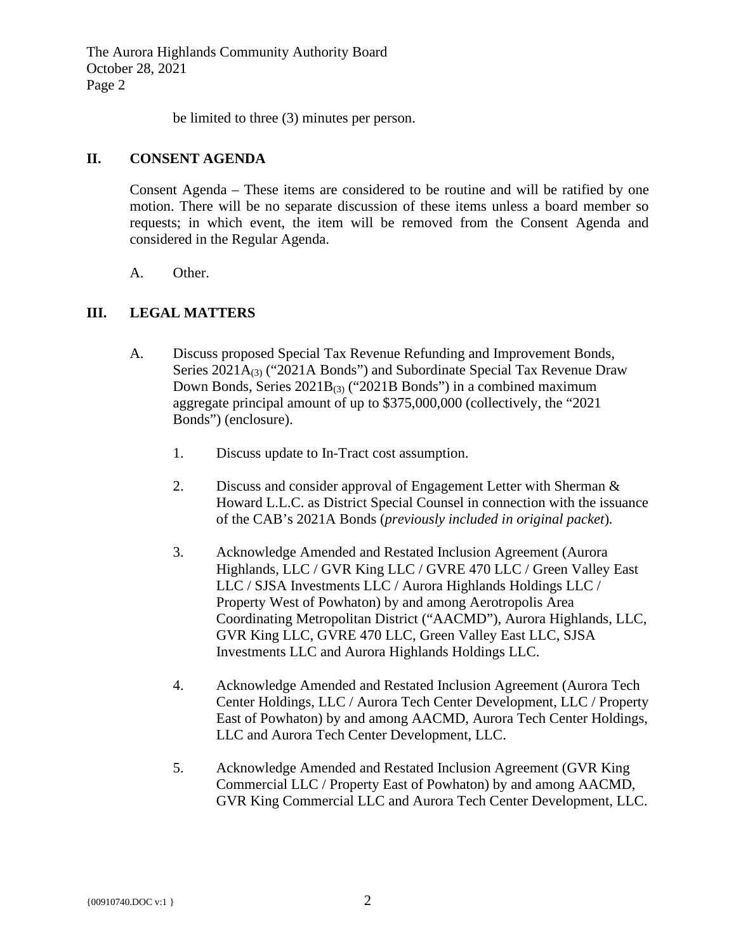The Aurora Highlands Community Authority Board October 28, 2021 Page 2

be limited to three (3) minutes per person.

### **II. CONSENT AGENDA**

Consent Agenda – These items are considered to be routine and will be ratified by one motion. There will be no separate discussion of these items unless a board member so requests; in which event, the item will be removed from the Consent Agenda and considered in the Regular Agenda.

A. Other.

## **III. LEGAL MATTERS**

- A. Discuss proposed Special Tax Revenue Refunding and Improvement Bonds, Series 2021A<sub>(3)</sub> ("2021A Bonds") and Subordinate Special Tax Revenue Draw Down Bonds, Series  $2021B_{(3)}$  ("2021B Bonds") in a combined maximum aggregate principal amount of up to \$375,000,000 (collectively, the "2021 Bonds") (enclosure).
	- 1. Discuss update to In-Tract cost assumption.
	- 2. Discuss and consider approval of Engagement Letter with Sherman & Howard L.L.C. as District Special Counsel in connection with the issuance of the CAB's 2021A Bonds (*previously included in original packet*).
	- 3. Acknowledge Amended and Restated Inclusion Agreement (Aurora Highlands, LLC / GVR King LLC / GVRE 470 LLC / Green Valley East LLC / SJSA Investments LLC / Aurora Highlands Holdings LLC / Property West of Powhaton) by and among Aerotropolis Area Coordinating Metropolitan District ("AACMD"), Aurora Highlands, LLC, GVR King LLC, GVRE 470 LLC, Green Valley East LLC, SJSA Investments LLC and Aurora Highlands Holdings LLC.
	- 4. Acknowledge Amended and Restated Inclusion Agreement (Aurora Tech Center Holdings, LLC / Aurora Tech Center Development, LLC / Property East of Powhaton) by and among AACMD, Aurora Tech Center Holdings, LLC and Aurora Tech Center Development, LLC.
	- 5. Acknowledge Amended and Restated Inclusion Agreement (GVR King Commercial LLC / Property East of Powhaton) by and among AACMD, GVR King Commercial LLC and Aurora Tech Center Development, LLC.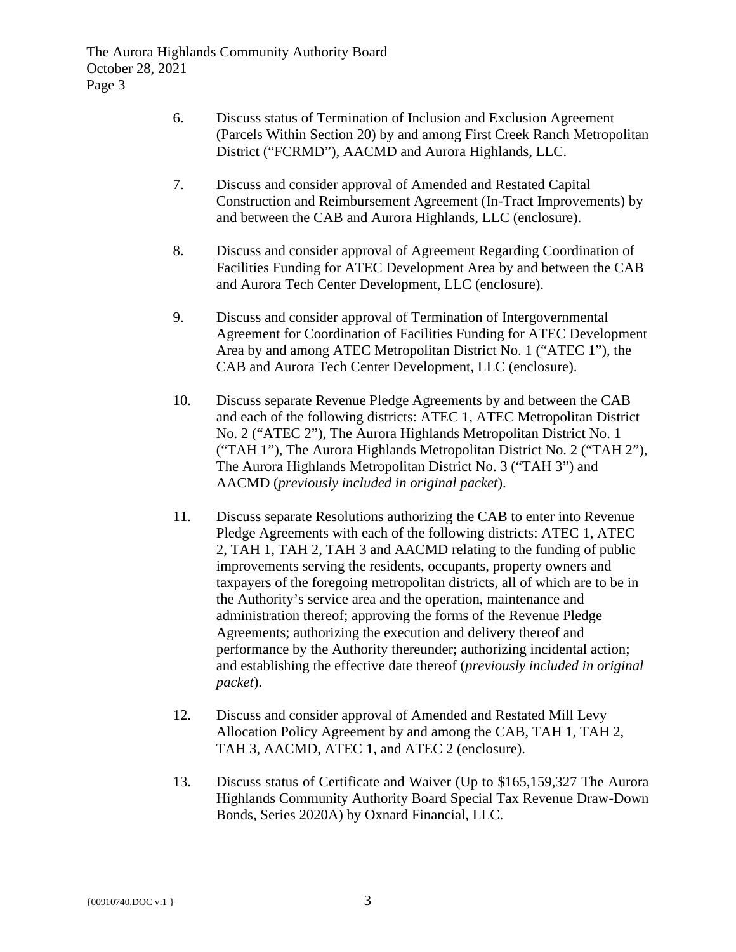- 6. Discuss status of Termination of Inclusion and Exclusion Agreement (Parcels Within Section 20) by and among First Creek Ranch Metropolitan District ("FCRMD"), AACMD and Aurora Highlands, LLC.
- 7. Discuss and consider approval of Amended and Restated Capital Construction and Reimbursement Agreement (In-Tract Improvements) by and between the CAB and Aurora Highlands, LLC (enclosure).
- 8. Discuss and consider approval of Agreement Regarding Coordination of Facilities Funding for ATEC Development Area by and between the CAB and Aurora Tech Center Development, LLC (enclosure).
- 9. Discuss and consider approval of Termination of Intergovernmental Agreement for Coordination of Facilities Funding for ATEC Development Area by and among ATEC Metropolitan District No. 1 ("ATEC 1"), the CAB and Aurora Tech Center Development, LLC (enclosure).
- 10. Discuss separate Revenue Pledge Agreements by and between the CAB and each of the following districts: ATEC 1, ATEC Metropolitan District No. 2 ("ATEC 2"), The Aurora Highlands Metropolitan District No. 1 ("TAH 1"), The Aurora Highlands Metropolitan District No. 2 ("TAH 2"), The Aurora Highlands Metropolitan District No. 3 ("TAH 3") and AACMD (*previously included in original packet*).
- 11. Discuss separate Resolutions authorizing the CAB to enter into Revenue Pledge Agreements with each of the following districts: ATEC 1, ATEC 2, TAH 1, TAH 2, TAH 3 and AACMD relating to the funding of public improvements serving the residents, occupants, property owners and taxpayers of the foregoing metropolitan districts, all of which are to be in the Authority's service area and the operation, maintenance and administration thereof; approving the forms of the Revenue Pledge Agreements; authorizing the execution and delivery thereof and performance by the Authority thereunder; authorizing incidental action; and establishing the effective date thereof (*previously included in original packet*).
- 12. Discuss and consider approval of Amended and Restated Mill Levy Allocation Policy Agreement by and among the CAB, TAH 1, TAH 2, TAH 3, AACMD, ATEC 1, and ATEC 2 (enclosure).
- 13. Discuss status of Certificate and Waiver (Up to \$165,159,327 The Aurora Highlands Community Authority Board Special Tax Revenue Draw-Down Bonds, Series 2020A) by Oxnard Financial, LLC.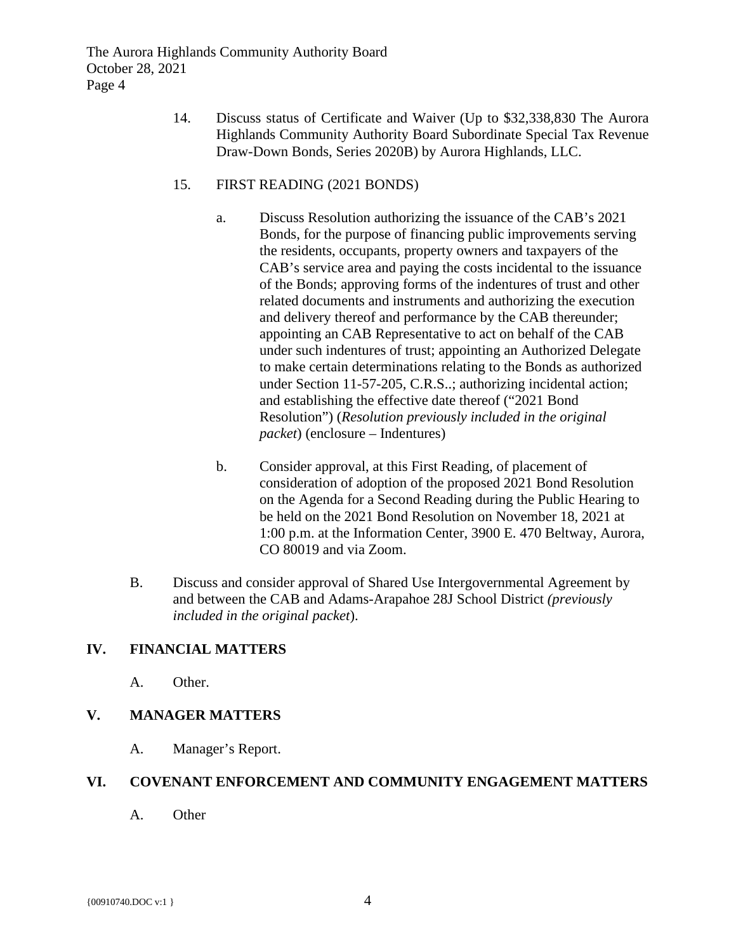The Aurora Highlands Community Authority Board October 28, 2021 Page 4

> 14. Discuss status of Certificate and Waiver (Up to \$32,338,830 The Aurora Highlands Community Authority Board Subordinate Special Tax Revenue Draw-Down Bonds, Series 2020B) by Aurora Highlands, LLC.

### 15. FIRST READING (2021 BONDS)

- a. Discuss Resolution authorizing the issuance of the CAB's 2021 Bonds, for the purpose of financing public improvements serving the residents, occupants, property owners and taxpayers of the CAB's service area and paying the costs incidental to the issuance of the Bonds; approving forms of the indentures of trust and other related documents and instruments and authorizing the execution and delivery thereof and performance by the CAB thereunder; appointing an CAB Representative to act on behalf of the CAB under such indentures of trust; appointing an Authorized Delegate to make certain determinations relating to the Bonds as authorized under Section 11-57-205, C.R.S..; authorizing incidental action; and establishing the effective date thereof ("2021 Bond Resolution") (*Resolution previously included in the original packet*) (enclosure – Indentures)
- b. Consider approval, at this First Reading, of placement of consideration of adoption of the proposed 2021 Bond Resolution on the Agenda for a Second Reading during the Public Hearing to be held on the 2021 Bond Resolution on November 18, 2021 at 1:00 p.m. at the Information Center, 3900 E. 470 Beltway, Aurora, CO 80019 and via Zoom.
- B. Discuss and consider approval of Shared Use Intergovernmental Agreement by and between the CAB and Adams-Arapahoe 28J School District *(previously included in the original packet*).

## **IV. FINANCIAL MATTERS**

A. Other.

## **V. MANAGER MATTERS**

A. Manager's Report.

### **VI. COVENANT ENFORCEMENT AND COMMUNITY ENGAGEMENT MATTERS**

A. Other